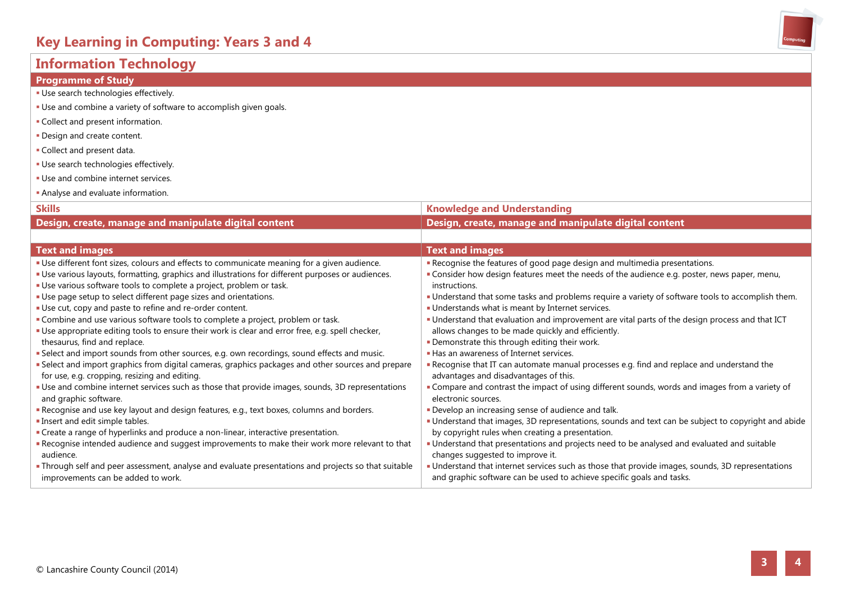### **Information Technology**

| <b>Programme of Study</b>                                                                          |                                                                                                   |
|----------------------------------------------------------------------------------------------------|---------------------------------------------------------------------------------------------------|
| · Use search technologies effectively.                                                             |                                                                                                   |
| • Use and combine a variety of software to accomplish given goals.                                 |                                                                                                   |
| • Collect and present information.                                                                 |                                                                                                   |
| . Design and create content.                                                                       |                                                                                                   |
| • Collect and present data.                                                                        |                                                                                                   |
| · Use search technologies effectively.                                                             |                                                                                                   |
| . Use and combine internet services.                                                               |                                                                                                   |
| Analyse and evaluate information.                                                                  |                                                                                                   |
| <b>Skills</b>                                                                                      | <b>Knowledge and Understanding</b>                                                                |
| Design, create, manage and manipulate digital content                                              | Design, create, manage and manipulate digital content                                             |
|                                                                                                    |                                                                                                   |
| <b>Text and images</b>                                                                             | <b>Text and images</b>                                                                            |
| " Use different font sizes, colours and effects to communicate meaning for a given audience.       | Recognise the features of good page design and multimedia presentations.                          |
| " Use various layouts, formatting, graphics and illustrations for different purposes or audiences. | " Consider how design features meet the needs of the audience e.g. poster, news paper, menu,      |
| • Use various software tools to complete a project, problem or task.                               | instructions.                                                                                     |
| "Use page setup to select different page sizes and orientations.                                   | . Understand that some tasks and problems require a variety of software tools to accomplish them. |
| "Use cut, copy and paste to refine and re-order content.                                           | Understands what is meant by Internet services.                                                   |
| • Combine and use various software tools to complete a project, problem or task.                   | " Understand that evaluation and improvement are vital parts of the design process and that ICT   |
| " Use appropriate editing tools to ensure their work is clear and error free, e.g. spell checker,  | allows changes to be made quickly and efficiently.                                                |
| thesaurus, find and replace.                                                                       | . Demonstrate this through editing their work.                                                    |
| " Select and import sounds from other sources, e.g. own recordings, sound effects and music.       | Has an awareness of Internet services.                                                            |
| " Select and import graphics from digital cameras, graphics packages and other sources and prepare | Recognise that IT can automate manual processes e.g. find and replace and understand the          |
| for use, e.g. cropping, resizing and editing.                                                      | advantages and disadvantages of this.                                                             |
| " Use and combine internet services such as those that provide images, sounds, 3D representations  | " Compare and contrast the impact of using different sounds, words and images from a variety of   |
| and graphic software.                                                                              | electronic sources.                                                                               |

Develop an increasing sense of audience and talk.

by copyright rules when creating a presentation.

and graphic software can be used to achieve specific goals and tasks.

changes suggested to improve it.

Understand that images, 3D representations, sounds and text can be subject to copyright and abide

Understand that presentations and projects need to be analysed and evaluated and suitable

Understand that internet services such as those that provide images, sounds, 3D representations

- Recognise and use key layout and design features, e.g., text boxes, columns and borders.
- **Insert and edit simple tables.**
- **Create a range of hyperlinks and produce a non-linear, interactive presentation.**
- Recognise intended audience and suggest improvements to make their work more relevant to that audience.
- Through self and peer assessment, analyse and evaluate presentations and projects so that suitable improvements can be added to work.



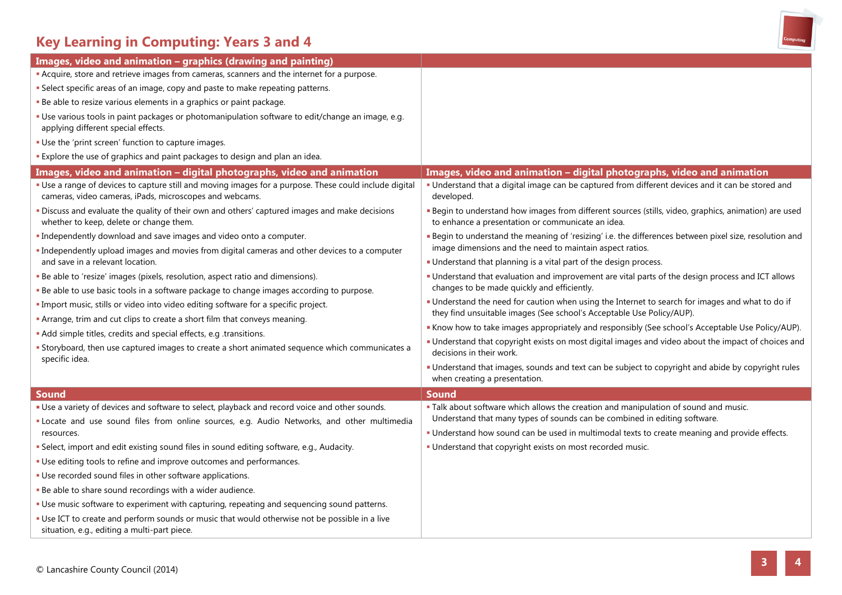# **Key Learning in Computing: Years 3 and 4**

| Images, video and animation - graphics (drawing and painting)                                                                                                              |                                                                                                                                                                           |
|----------------------------------------------------------------------------------------------------------------------------------------------------------------------------|---------------------------------------------------------------------------------------------------------------------------------------------------------------------------|
| <b>Acquire, store and retrieve images from cameras, scanners and the internet for a purpose.</b>                                                                           |                                                                                                                                                                           |
| · Select specific areas of an image, copy and paste to make repeating patterns.                                                                                            |                                                                                                                                                                           |
| · Be able to resize various elements in a graphics or paint package.                                                                                                       |                                                                                                                                                                           |
| · Use various tools in paint packages or photomanipulation software to edit/change an image, e.g.<br>applying different special effects.                                   |                                                                                                                                                                           |
| . Use the 'print screen' function to capture images.                                                                                                                       |                                                                                                                                                                           |
| . Explore the use of graphics and paint packages to design and plan an idea.                                                                                               |                                                                                                                                                                           |
| Images, video and animation - digital photographs, video and animation                                                                                                     | Images, video and animation - digital photographs, video and animation                                                                                                    |
| " Use a range of devices to capture still and moving images for a purpose. These could include digital<br>cameras, video cameras, iPads, microscopes and webcams.          | Understand that a digital image can be captured from different devices and it can be stored and<br>developed.                                                             |
| · Discuss and evaluate the quality of their own and others' captured images and make decisions<br>whether to keep, delete or change them.                                  | " Begin to understand how images from different sources (stills, video, graphics, animation) are used<br>to enhance a presentation or communicate an idea.                |
| . Independently download and save images and video onto a computer.                                                                                                        | Begin to understand the meaning of 'resizing' i.e. the differences between pixel size, resolution and                                                                     |
| " Independently upload images and movies from digital cameras and other devices to a computer                                                                              | image dimensions and the need to maintain aspect ratios.                                                                                                                  |
| and save in a relevant location.                                                                                                                                           | " Understand that planning is a vital part of the design process.                                                                                                         |
| · Be able to 'resize' images (pixels, resolution, aspect ratio and dimensions).<br>Be able to use basic tools in a software package to change images according to purpose. | " Understand that evaluation and improvement are vital parts of the design process and ICT allows<br>changes to be made quickly and efficiently.                          |
| · Import music, stills or video into video editing software for a specific project.                                                                                        | " Understand the need for caution when using the Internet to search for images and what to do if<br>they find unsuitable images (See school's Acceptable Use Policy/AUP). |
| • Arrange, trim and cut clips to create a short film that conveys meaning.                                                                                                 | . Know how to take images appropriately and responsibly (See school's Acceptable Use Policy/AUP).                                                                         |
| . Add simple titles, credits and special effects, e.g .transitions.                                                                                                        | - Understand that copyright exists on most digital images and video about the impact of choices and                                                                       |
| <b>Storyboard, then use captured images to create a short animated sequence which communicates a</b><br>specific idea.                                                     | decisions in their work.                                                                                                                                                  |
|                                                                                                                                                                            | " Understand that images, sounds and text can be subject to copyright and abide by copyright rules<br>when creating a presentation.                                       |
| <b>Sound</b>                                                                                                                                                               | <b>Sound</b>                                                                                                                                                              |
| Use a variety of devices and software to select, playback and record voice and other sounds.                                                                               | . Talk about software which allows the creation and manipulation of sound and music.                                                                                      |
| "Locate and use sound files from online sources, e.g. Audio Networks, and other multimedia                                                                                 | Understand that many types of sounds can be combined in editing software.                                                                                                 |
| resources.                                                                                                                                                                 | . Understand how sound can be used in multimodal texts to create meaning and provide effects.                                                                             |
| · Select, import and edit existing sound files in sound editing software, e.g., Audacity.                                                                                  | · Understand that copyright exists on most recorded music.                                                                                                                |
| . Use editing tools to refine and improve outcomes and performances.                                                                                                       |                                                                                                                                                                           |
| . Use recorded sound files in other software applications.                                                                                                                 |                                                                                                                                                                           |
| . Be able to share sound recordings with a wider audience.                                                                                                                 |                                                                                                                                                                           |
| . Use music software to experiment with capturing, repeating and sequencing sound patterns.                                                                                |                                                                                                                                                                           |
| - Use ICT to create and perform sounds or music that would otherwise not be possible in a live<br>situation, e.g., editing a multi-part piece.                             |                                                                                                                                                                           |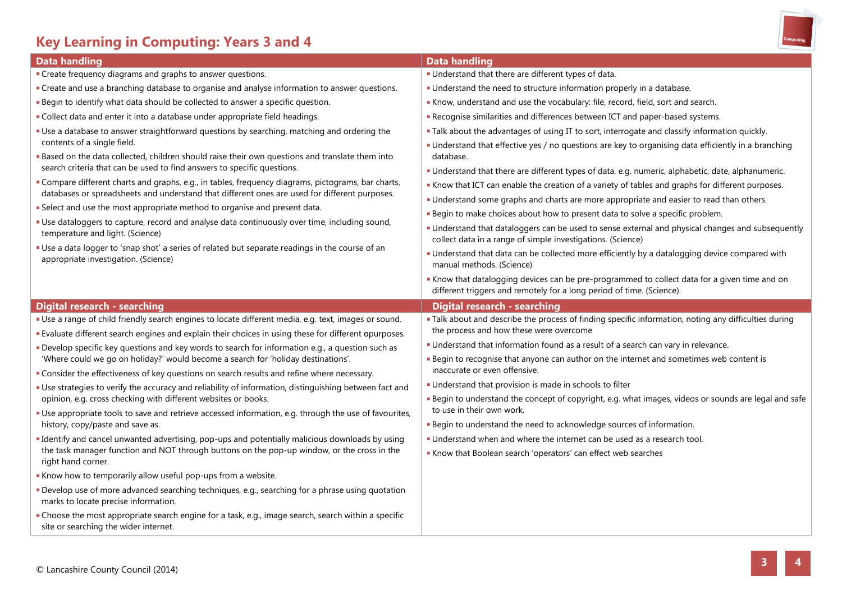## **Key Learning in Computing: Years 3 and 4**



| <b>Data handling</b>                                                                                                                                                                                                                                                                                                                                                                                                                                                                                                                                                                                                                         | <b>Data handling</b>                                                                                                                                                                                                                                                                                                                                                                                                                                                                                                                                                                                                                                                               |
|----------------------------------------------------------------------------------------------------------------------------------------------------------------------------------------------------------------------------------------------------------------------------------------------------------------------------------------------------------------------------------------------------------------------------------------------------------------------------------------------------------------------------------------------------------------------------------------------------------------------------------------------|------------------------------------------------------------------------------------------------------------------------------------------------------------------------------------------------------------------------------------------------------------------------------------------------------------------------------------------------------------------------------------------------------------------------------------------------------------------------------------------------------------------------------------------------------------------------------------------------------------------------------------------------------------------------------------|
| • Create frequency diagrams and graphs to answer questions.                                                                                                                                                                                                                                                                                                                                                                                                                                                                                                                                                                                  | . Understand that there are different types of data.                                                                                                                                                                                                                                                                                                                                                                                                                                                                                                                                                                                                                               |
| • Create and use a branching database to organise and analyse information to answer questions.                                                                                                                                                                                                                                                                                                                                                                                                                                                                                                                                               | . Understand the need to structure information properly in a database.                                                                                                                                                                                                                                                                                                                                                                                                                                                                                                                                                                                                             |
| . Begin to identify what data should be collected to answer a specific question.                                                                                                                                                                                                                                                                                                                                                                                                                                                                                                                                                             | Know, understand and use the vocabulary: file, record, field, sort and search.                                                                                                                                                                                                                                                                                                                                                                                                                                                                                                                                                                                                     |
| " Collect data and enter it into a database under appropriate field headings.                                                                                                                                                                                                                                                                                                                                                                                                                                                                                                                                                                | Recognise similarities and differences between ICT and paper-based systems.                                                                                                                                                                                                                                                                                                                                                                                                                                                                                                                                                                                                        |
| " Use a database to answer straightforward questions by searching, matching and ordering the<br>contents of a single field.<br>Based on the data collected, children should raise their own questions and translate them into                                                                                                                                                                                                                                                                                                                                                                                                                | . Talk about the advantages of using IT to sort, interrogate and classify information quickly.<br>Understand that effective yes / no questions are key to organising data efficiently in a branching<br>database.                                                                                                                                                                                                                                                                                                                                                                                                                                                                  |
| search criteria that can be used to find answers to specific questions.<br>Compare different charts and graphs, e.g., in tables, frequency diagrams, pictograms, bar charts,<br>databases or spreadsheets and understand that different ones are used for different purposes.<br>• Select and use the most appropriate method to organise and present data.<br>" Use dataloggers to capture, record and analyse data continuously over time, including sound,<br>temperature and light. (Science)<br>"Use a data logger to 'snap shot' a series of related but separate readings in the course of an<br>appropriate investigation. (Science) | Understand that there are different types of data, e.g. numeric, alphabetic, date, alphanumeric.<br>Know that ICT can enable the creation of a variety of tables and graphs for different purposes.<br>" Understand some graphs and charts are more appropriate and easier to read than others.<br>" Begin to make choices about how to present data to solve a specific problem.<br>" Understand that dataloggers can be used to sense external and physical changes and subsequently<br>collect data in a range of simple investigations. (Science)<br>Understand that data can be collected more efficiently by a datalogging device compared with<br>manual methods. (Science) |
|                                                                                                                                                                                                                                                                                                                                                                                                                                                                                                                                                                                                                                              | Know that datalogging devices can be pre-programmed to collect data for a given time and on<br>different triggers and remotely for a long period of time. (Science).                                                                                                                                                                                                                                                                                                                                                                                                                                                                                                               |
| <b>Digital research - searching</b>                                                                                                                                                                                                                                                                                                                                                                                                                                                                                                                                                                                                          | <b>Digital research - searching</b>                                                                                                                                                                                                                                                                                                                                                                                                                                                                                                                                                                                                                                                |
| Use a range of child friendly search engines to locate different media, e.g. text, images or sound.                                                                                                                                                                                                                                                                                                                                                                                                                                                                                                                                          | · Talk about and describe the process of finding specific information, noting any difficulties during                                                                                                                                                                                                                                                                                                                                                                                                                                                                                                                                                                              |
| <b>Evaluate different search engines and explain their choices in using these for different opurposes.</b>                                                                                                                                                                                                                                                                                                                                                                                                                                                                                                                                   | the process and how these were overcome                                                                                                                                                                                                                                                                                                                                                                                                                                                                                                                                                                                                                                            |
| Develop specific key questions and key words to search for information e.g., a question such as<br>'Where could we go on holiday?' would become a search for 'holiday destinations'.                                                                                                                                                                                                                                                                                                                                                                                                                                                         | . Understand that information found as a result of a search can vary in relevance.<br><b>Begin to recognise that anyone can author on the internet and sometimes web content is</b>                                                                                                                                                                                                                                                                                                                                                                                                                                                                                                |
| " Consider the effectiveness of key questions on search results and refine where necessary.                                                                                                                                                                                                                                                                                                                                                                                                                                                                                                                                                  | inaccurate or even offensive.                                                                                                                                                                                                                                                                                                                                                                                                                                                                                                                                                                                                                                                      |
| " Use strategies to verify the accuracy and reliability of information, distinguishing between fact and<br>opinion, e.g. cross checking with different websites or books.                                                                                                                                                                                                                                                                                                                                                                                                                                                                    | Understand that provision is made in schools to filter<br><b>Begin to understand the concept of copyright, e.g. what images, videos or sounds are legal and safe</b>                                                                                                                                                                                                                                                                                                                                                                                                                                                                                                               |
| " Use appropriate tools to save and retrieve accessed information, e.g. through the use of favourites,<br>history, copy/paste and save as.                                                                                                                                                                                                                                                                                                                                                                                                                                                                                                   | to use in their own work.<br>. Begin to understand the need to acknowledge sources of information.                                                                                                                                                                                                                                                                                                                                                                                                                                                                                                                                                                                 |
| " Identify and cancel unwanted advertising, pop-ups and potentially malicious downloads by using<br>the task manager function and NOT through buttons on the pop-up window, or the cross in the<br>right hand corner.                                                                                                                                                                                                                                                                                                                                                                                                                        | . Understand when and where the internet can be used as a research tool.<br>Know that Boolean search 'operators' can effect web searches                                                                                                                                                                                                                                                                                                                                                                                                                                                                                                                                           |
| Know how to temporarily allow useful pop-ups from a website.                                                                                                                                                                                                                                                                                                                                                                                                                                                                                                                                                                                 |                                                                                                                                                                                                                                                                                                                                                                                                                                                                                                                                                                                                                                                                                    |
| Develop use of more advanced searching techniques, e.g., searching for a phrase using quotation<br>marks to locate precise information.                                                                                                                                                                                                                                                                                                                                                                                                                                                                                                      |                                                                                                                                                                                                                                                                                                                                                                                                                                                                                                                                                                                                                                                                                    |
| • Choose the most appropriate search engine for a task, e.g., image search, search within a specific<br>site or searching the wider internet.                                                                                                                                                                                                                                                                                                                                                                                                                                                                                                |                                                                                                                                                                                                                                                                                                                                                                                                                                                                                                                                                                                                                                                                                    |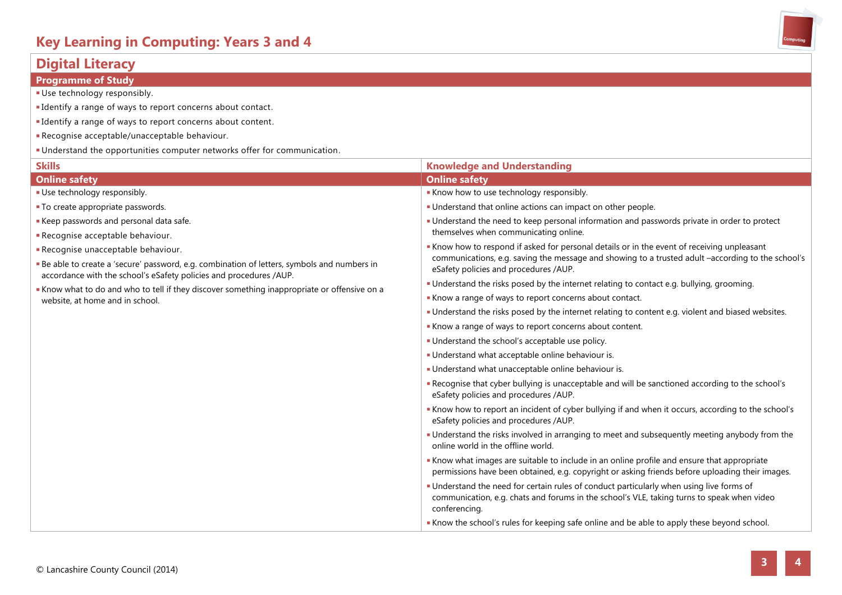### **Digital Literacy**

#### **Programme of Study**

- Use technology responsibly.
- Identify a range of ways to report concerns about contact.
- Identify a range of ways to report concerns about content.
- Recognise acceptable/unacceptable behaviour.
- Understand the opportunities computer networks offer for communication.

| <b>Skills</b>                                                                                                                                                    | <b>Knowledge and Understanding</b>                                                                                                                                                                      |
|------------------------------------------------------------------------------------------------------------------------------------------------------------------|---------------------------------------------------------------------------------------------------------------------------------------------------------------------------------------------------------|
| <b>Online safety</b>                                                                                                                                             | <b>Online safety</b>                                                                                                                                                                                    |
| Use technology responsibly.                                                                                                                                      | Know how to use technology responsibly.                                                                                                                                                                 |
| • To create appropriate passwords.                                                                                                                               | • Understand that online actions can impact on other people.                                                                                                                                            |
| Keep passwords and personal data safe.                                                                                                                           | Understand the need to keep personal information and passwords private in order to protect                                                                                                              |
| Recognise acceptable behaviour.                                                                                                                                  | themselves when communicating online.                                                                                                                                                                   |
| Recognise unacceptable behaviour.                                                                                                                                | Know how to respond if asked for personal details or in the event of receiving unpleasant                                                                                                               |
| Be able to create a 'secure' password, e.g. combination of letters, symbols and numbers in<br>accordance with the school's eSafety policies and procedures /AUP. | communications, e.g. saving the message and showing to a trusted adult -according to the school's<br>eSafety policies and procedures /AUP.                                                              |
| Know what to do and who to tell if they discover something inappropriate or offensive on a                                                                       | • Understand the risks posed by the internet relating to contact e.g. bullying, grooming.                                                                                                               |
| website, at home and in school.                                                                                                                                  | Know a range of ways to report concerns about contact.                                                                                                                                                  |
|                                                                                                                                                                  | . Understand the risks posed by the internet relating to content e.g. violent and biased websites.                                                                                                      |
|                                                                                                                                                                  | Know a range of ways to report concerns about content.                                                                                                                                                  |
|                                                                                                                                                                  | • Understand the school's acceptable use policy.                                                                                                                                                        |
|                                                                                                                                                                  | Understand what acceptable online behaviour is.                                                                                                                                                         |
|                                                                                                                                                                  | Understand what unacceptable online behaviour is.                                                                                                                                                       |
|                                                                                                                                                                  | Recognise that cyber bullying is unacceptable and will be sanctioned according to the school's<br>eSafety policies and procedures /AUP.                                                                 |
|                                                                                                                                                                  | "Know how to report an incident of cyber bullying if and when it occurs, according to the school's<br>eSafety policies and procedures /AUP.                                                             |
|                                                                                                                                                                  | " Understand the risks involved in arranging to meet and subsequently meeting anybody from the<br>online world in the offline world.                                                                    |
|                                                                                                                                                                  | Know what images are suitable to include in an online profile and ensure that appropriate<br>permissions have been obtained, e.g. copyright or asking friends before uploading their images.            |
|                                                                                                                                                                  | " Understand the need for certain rules of conduct particularly when using live forms of<br>communication, e.g. chats and forums in the school's VLE, taking turns to speak when video<br>conferencing. |
|                                                                                                                                                                  | Know the school's rules for keeping safe online and be able to apply these beyond school.                                                                                                               |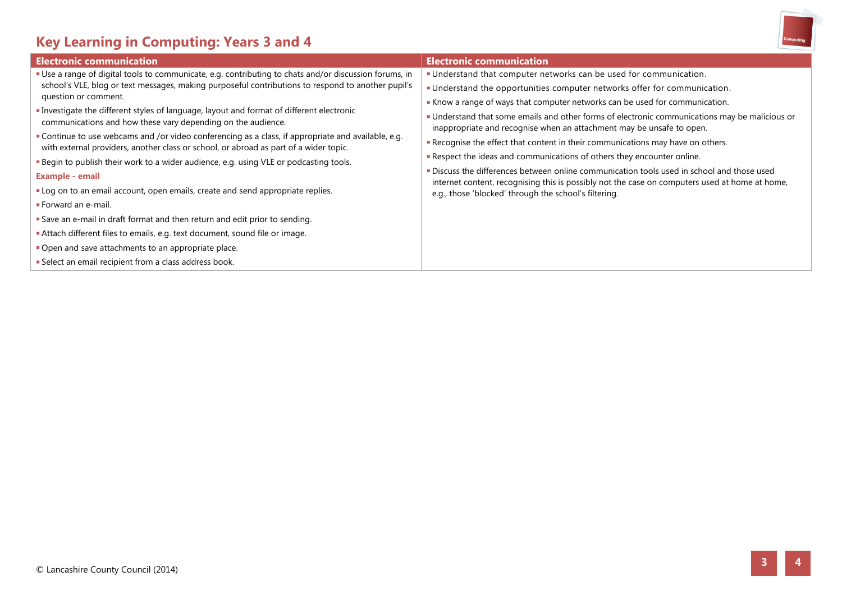# **Key Learning in Computing: Years 3 and 4**



| Use a range of digital tools to communicate, e.g. contributing to chats and/or discussion forums, in                                                                                                                                                                                                                                                                                                                                                                                                                                                                                                                                                                                                                                                                                                                                                                                                                                                                                      | . Understand that computer networks can be used for communication.                                                                                                                                                                                                                                                                                                                                                                                                                                                                                                                                                                                                                                                                                    |
|-------------------------------------------------------------------------------------------------------------------------------------------------------------------------------------------------------------------------------------------------------------------------------------------------------------------------------------------------------------------------------------------------------------------------------------------------------------------------------------------------------------------------------------------------------------------------------------------------------------------------------------------------------------------------------------------------------------------------------------------------------------------------------------------------------------------------------------------------------------------------------------------------------------------------------------------------------------------------------------------|-------------------------------------------------------------------------------------------------------------------------------------------------------------------------------------------------------------------------------------------------------------------------------------------------------------------------------------------------------------------------------------------------------------------------------------------------------------------------------------------------------------------------------------------------------------------------------------------------------------------------------------------------------------------------------------------------------------------------------------------------------|
| school's VLE, blog or text messages, making purposeful contributions to respond to another pupil's<br>question or comment.<br>Investigate the different styles of language, layout and format of different electronic<br>communications and how these vary depending on the audience.<br>Continue to use webcams and /or video conferencing as a class, if appropriate and available, e.g.<br>with external providers, another class or school, or abroad as part of a wider topic.<br>. Begin to publish their work to a wider audience, e.g. using VLE or podcasting tools.<br><b>Example - email</b><br>" Log on to an email account, open emails, create and send appropriate replies.<br>Forward an e-mail.<br>Save an e-mail in draft format and then return and edit prior to sending.<br>Attach different files to emails, e.g. text document, sound file or image.<br>Open and save attachments to an appropriate place.<br>Select an email recipient from a class address book. | · Understand the opportunities computer networks offer for communication.<br>Know a range of ways that computer networks can be used for communication.<br>" Understand that some emails and other forms of electronic communications may be malicious or<br>inappropriate and recognise when an attachment may be unsafe to open.<br>Recognise the effect that content in their communications may have on others.<br>Respect the ideas and communications of others they encounter online.<br>. Discuss the differences between online communication tools used in school and those used<br>internet content, recognising this is possibly not the case on computers used at home at home,<br>e.g., those 'blocked' through the school's filtering. |